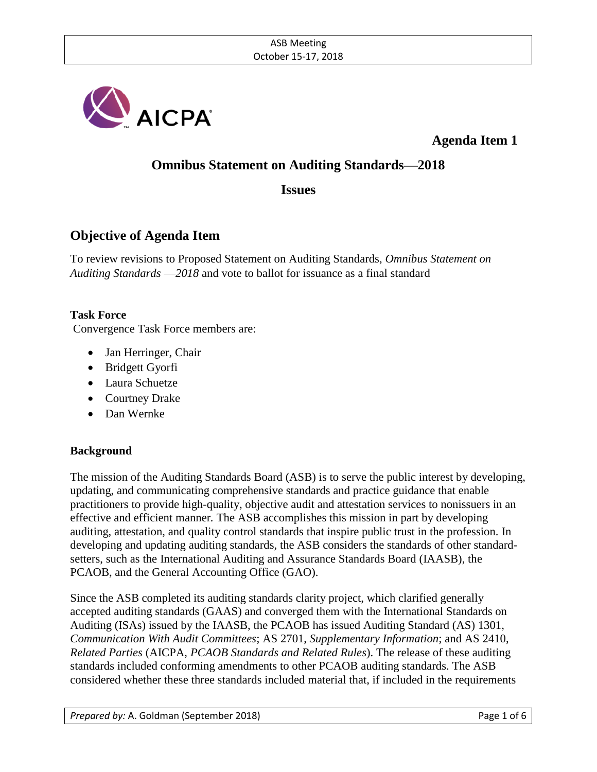

**Agenda Item 1**

## **Omnibus Statement on Auditing Standards—2018**

## **Issues**

## **Objective of Agenda Item**

To review revisions to Proposed Statement on Auditing Standards, *Omnibus Statement on Auditing Standards* —*2018* and vote to ballot for issuance as a final standard

### **Task Force**

Convergence Task Force members are:

- Jan Herringer, Chair
- Bridgett Gyorfi
- Laura Schuetze
- Courtney Drake
- Dan Wernke

### **Background**

The mission of the Auditing Standards Board (ASB) is to serve the public interest by developing, updating, and communicating comprehensive standards and practice guidance that enable practitioners to provide high-quality, objective audit and attestation services to nonissuers in an effective and efficient manner*.* The ASB accomplishes this mission in part by developing auditing, attestation, and quality control standards that inspire public trust in the profession. In developing and updating auditing standards, the ASB considers the standards of other standardsetters, such as the International Auditing and Assurance Standards Board (IAASB), the PCAOB, and the General Accounting Office (GAO).

Since the ASB completed its auditing standards clarity project, which clarified generally accepted auditing standards (GAAS) and converged them with the International Standards on Auditing (ISAs) issued by the IAASB, the PCAOB has issued Auditing Standard (AS) 1301, *Communication With Audit Committees*; AS 2701, *Supplementary Information*; and AS 2410, *Related Parties* (AICPA, *PCAOB Standards and Related Rules*). The release of these auditing standards included conforming amendments to other PCAOB auditing standards. The ASB considered whether these three standards included material that, if included in the requirements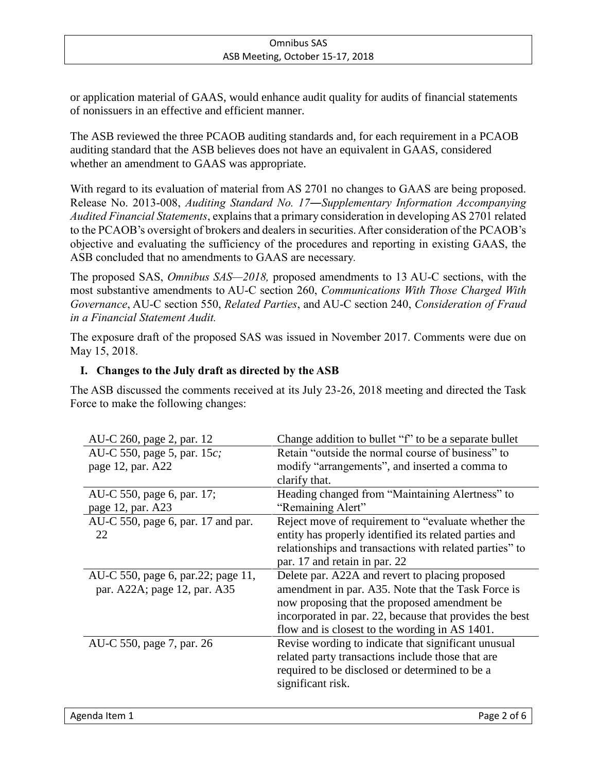or application material of GAAS, would enhance audit quality for audits of financial statements of nonissuers in an effective and efficient manner.

The ASB reviewed the three PCAOB auditing standards and, for each requirement in a PCAOB auditing standard that the ASB believes does not have an equivalent in GAAS, considered whether an amendment to GAAS was appropriate.

With regard to its evaluation of material from AS 2701 no changes to GAAS are being proposed. Release No. 2013-008, *Auditing Standard No. 17―Supplementary Information Accompanying Audited Financial Statements*, explains that a primary consideration in developing AS 2701 related to the PCAOB's oversight of brokers and dealers in securities. After consideration of the PCAOB's objective and evaluating the sufficiency of the procedures and reporting in existing GAAS, the ASB concluded that no amendments to GAAS are necessary*.*

The proposed SAS, *Omnibus SAS—2018,* proposed amendments to 13 AU-C sections, with the most substantive amendments to AU-C section 260, *Communications With Those Charged With Governance*, AU-C section 550, *Related Parties*, and AU-C section 240, *Consideration of Fraud in a Financial Statement Audit.*

The exposure draft of the proposed SAS was issued in November 2017. Comments were due on May 15, 2018.

## **I. Changes to the July draft as directed by the ASB**

The ASB discussed the comments received at its July 23-26, 2018 meeting and directed the Task Force to make the following changes:

| AU-C 260, page 2, par. 12            | Change addition to bullet "f" to be a separate bullet   |
|--------------------------------------|---------------------------------------------------------|
| AU-C 550, page 5, par. 15 <i>c</i> ; | Retain "outside the normal course of business" to       |
| page 12, par. A22                    | modify "arrangements", and inserted a comma to          |
|                                      | clarify that.                                           |
| AU-C 550, page 6, par. 17;           | Heading changed from "Maintaining Alertness" to         |
| page 12, par. A23                    | "Remaining Alert"                                       |
| AU-C 550, page 6, par. 17 and par.   | Reject move of requirement to "evaluate whether the     |
| 22                                   | entity has properly identified its related parties and  |
|                                      | relationships and transactions with related parties" to |
|                                      | par. 17 and retain in par. 22                           |
| AU-C 550, page 6, par.22; page 11,   | Delete par. A22A and revert to placing proposed         |
| par. A22A; page 12, par. A35         | amendment in par. A35. Note that the Task Force is      |
|                                      | now proposing that the proposed amendment be            |
|                                      | incorporated in par. 22, because that provides the best |
|                                      | flow and is closest to the wording in AS 1401.          |
| AU-C 550, page 7, par. 26            | Revise wording to indicate that significant unusual     |
|                                      | related party transactions include those that are       |
|                                      | required to be disclosed or determined to be a          |
|                                      | significant risk.                                       |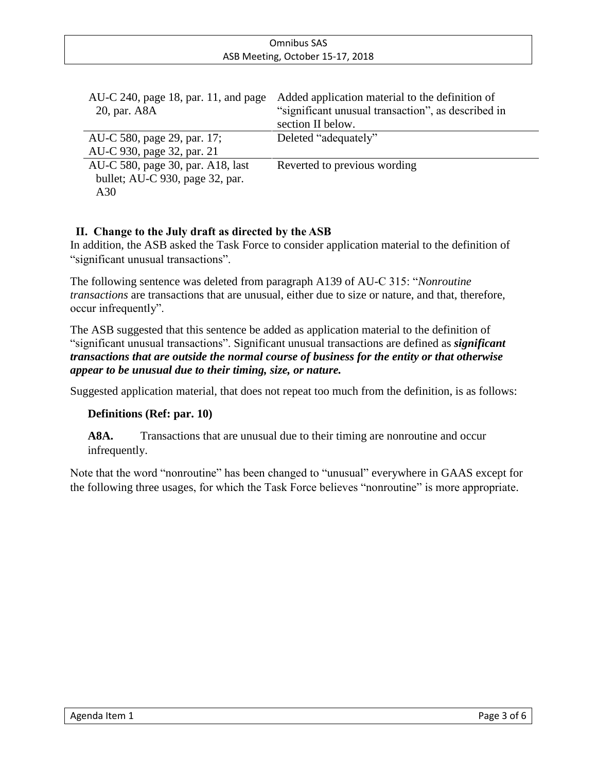| Omnibus SAS                      |  |
|----------------------------------|--|
| ASB Meeting, October 15-17, 2018 |  |
|                                  |  |

| AU-C 240, page 18, par. 11, and page | Added application material to the definition of    |
|--------------------------------------|----------------------------------------------------|
| 20, par. A8A                         | "significant unusual transaction", as described in |
|                                      | section II below.                                  |
| AU-C 580, page 29, par. 17;          | Deleted "adequately"                               |
| AU-C 930, page 32, par. 21           |                                                    |
| AU-C 580, page 30, par. A18, last    | Reverted to previous wording                       |
| bullet; AU-C 930, page 32, par.      |                                                    |
| A30                                  |                                                    |

### **II. Change to the July draft as directed by the ASB**

In addition, the ASB asked the Task Force to consider application material to the definition of "significant unusual transactions".

The following sentence was deleted from paragraph A139 of AU-C 315: "*Nonroutine transactions* are transactions that are unusual, either due to size or nature, and that, therefore, occur infrequently".

The ASB suggested that this sentence be added as application material to the definition of "significant unusual transactions". Significant unusual transactions are defined as *significant transactions that are outside the normal course of business for the entity or that otherwise appear to be unusual due to their timing, size, or nature.*

Suggested application material, that does not repeat too much from the definition, is as follows:

### **Definitions (Ref: par. 10)**

A8A. Transactions that are unusual due to their timing are nonroutine and occur infrequently.

Note that the word "nonroutine" has been changed to "unusual" everywhere in GAAS except for the following three usages, for which the Task Force believes "nonroutine" is more appropriate.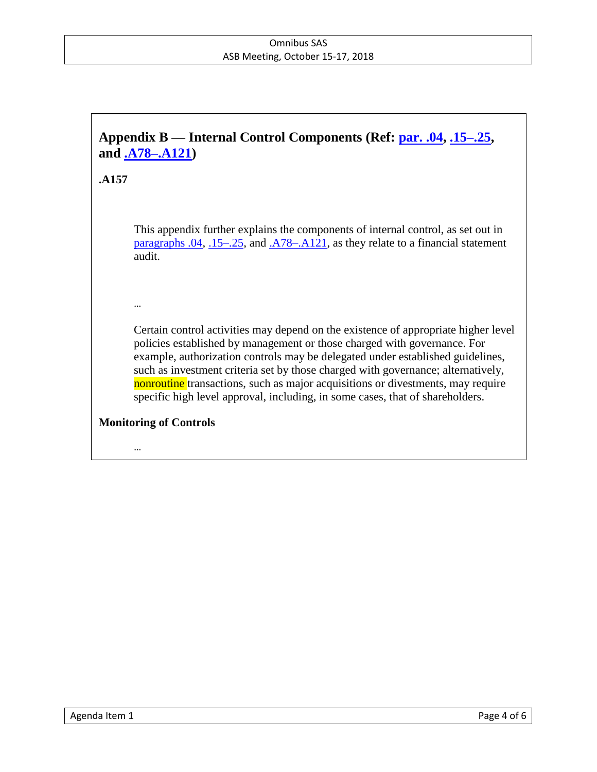# **Appendix B — Internal Control Components (Ref: par. .04, .15–.25, and .A78–.A121)**

### **.A157**

This appendix further explains the components of internal control, as set out in paragraphs .04, .15–.25, and .A78–.A121, as they relate to a financial statement audit.

…

Certain control activities may depend on the existence of appropriate higher level policies established by management or those charged with governance. For example, authorization controls may be delegated under established guidelines, such as investment criteria set by those charged with governance; alternatively, nonroutine transactions, such as major acquisitions or divestments, may require specific high level approval, including, in some cases, that of shareholders.

### **Monitoring of Controls**

…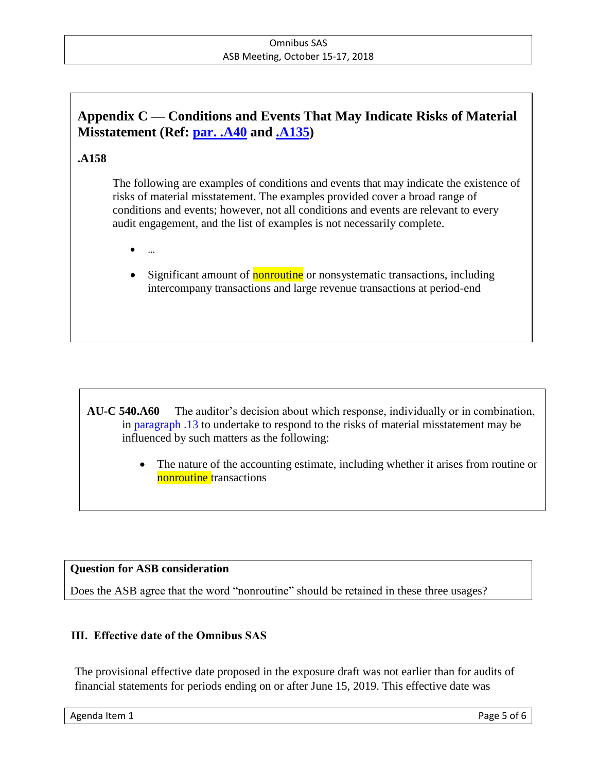## **Appendix C — Conditions and Events That May Indicate Risks of Material Misstatement (Ref: par. .A40 and .A135)**

## **.A158**

The following are examples of conditions and events that may indicate the existence of risks of material misstatement. The examples provided cover a broad range of conditions and events; however, not all conditions and events are relevant to every audit engagement, and the list of examples is not necessarily complete.

- …
- Significant amount of nonroutine or nonsystematic transactions, including intercompany transactions and large revenue transactions at period-end

**AU-C 540.A60** The auditor's decision about which response, individually or in combination, in paragraph .13 to undertake to respond to the risks of material misstatement may be influenced by such matters as the following:

> The nature of the accounting estimate, including whether it arises from routine or nonroutine transactions

### **Question for ASB consideration**

Does the ASB agree that the word "nonroutine" should be retained in these three usages?

### **III. Effective date of the Omnibus SAS**

The provisional effective date proposed in the exposure draft was not earlier than for audits of financial statements for periods ending on or after June 15, 2019. This effective date was